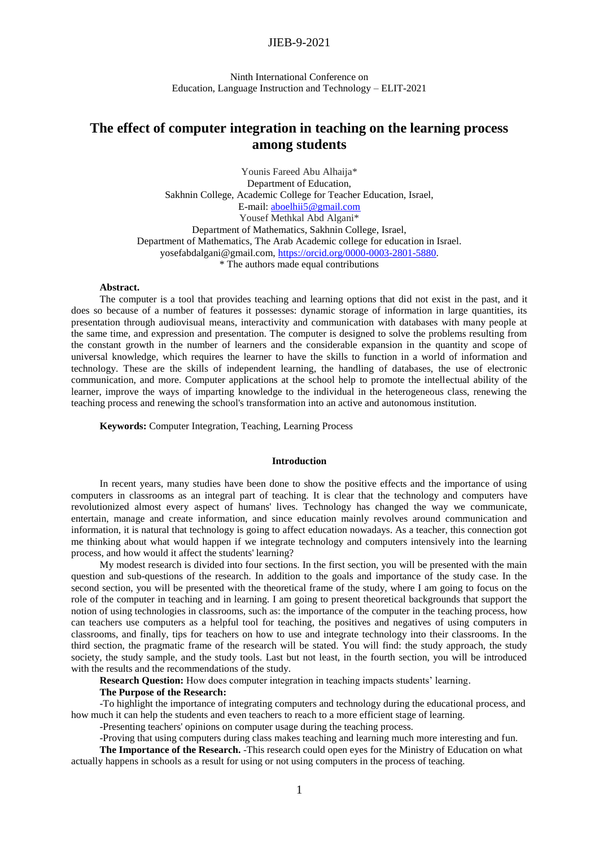Ninth International Conference on Education, Language Instruction and Technology – ELIT-2021

# **The effect of computer integration in teaching on the learning process among students**

Younis Fareed Abu Alhaija\* Department of Education, Sakhnin College, Academic College for Teacher Education, Israel, E-mail: [aboelhii5@gmail.com](mailto:aboelhii5@gmail.com) Yousef Methkal Abd Algani\* Department of Mathematics, Sakhnin College, Israel, Department of Mathematics, The Arab Academic college for education in Israel. yosefabdalgani@gmail.com, [https://orcid.org/0000-0003-2801-5880.](https://orcid.org/0000-0003-2801-5880) \* The authors made equal contributions

#### **Abstract.**

The computer is a tool that provides teaching and learning options that did not exist in the past, and it does so because of a number of features it possesses: dynamic storage of information in large quantities, its presentation through audiovisual means, interactivity and communication with databases with many people at the same time, and expression and presentation. The computer is designed to solve the problems resulting from the constant growth in the number of learners and the considerable expansion in the quantity and scope of universal knowledge, which requires the learner to have the skills to function in a world of information and technology. These are the skills of independent learning, the handling of databases, the use of electronic communication, and more. Computer applications at the school help to promote the intellectual ability of the learner, improve the ways of imparting knowledge to the individual in the heterogeneous class, renewing the teaching process and renewing the school's transformation into an active and autonomous institution.

**Keywords:** Computer Integration, Teaching, Learning Process

### **Introduction**

In recent years, many studies have been done to show the positive effects and the importance of using computers in classrooms as an integral part of teaching. It is clear that the technology and computers have revolutionized almost every aspect of humans' lives. Technology has changed the way we communicate, entertain, manage and create information, and since education mainly revolves around communication and information, it is natural that technology is going to affect education nowadays. As a teacher, this connection got me thinking about what would happen if we integrate technology and computers intensively into the learning process, and how would it affect the students' learning?

My modest research is divided into four sections. In the first section, you will be presented with the main question and sub-questions of the research. In addition to the goals and importance of the study case. In the second section, you will be presented with the theoretical frame of the study, where I am going to focus on the role of the computer in teaching and in learning. I am going to present theoretical backgrounds that support the notion of using technologies in classrooms, such as: the importance of the computer in the teaching process, how can teachers use computers as a helpful tool for teaching, the positives and negatives of using computers in classrooms, and finally, tips for teachers on how to use and integrate technology into their classrooms. In the third section, the pragmatic frame of the research will be stated. You will find: the study approach, the study society, the study sample, and the study tools. Last but not least, in the fourth section, you will be introduced with the results and the recommendations of the study.

**Research Question:** How does computer integration in teaching impacts students' learning.

#### **The Purpose of the Research:**

-To highlight the importance of integrating computers and technology during the educational process, and how much it can help the students and even teachers to reach to a more efficient stage of learning.

-Presenting teachers' opinions on computer usage during the teaching process.

-Proving that using computers during class makes teaching and learning much more interesting and fun. **The Importance of the Research.** -This research could open eyes for the Ministry of Education on what

actually happens in schools as a result for using or not using computers in the process of teaching.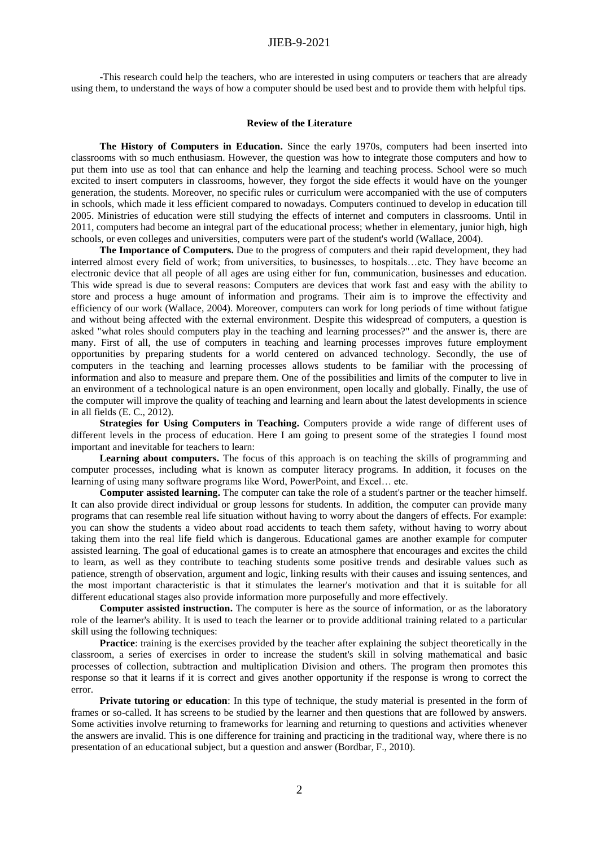-This research could help the teachers, who are interested in using computers or teachers that are already using them, to understand the ways of how a computer should be used best and to provide them with helpful tips.

#### **Review of the Literature**

**The History of Computers in Education.** Since the early 1970s, computers had been inserted into classrooms with so much enthusiasm. However, the question was how to integrate those computers and how to put them into use as tool that can enhance and help the learning and teaching process. School were so much excited to insert computers in classrooms, however, they forgot the side effects it would have on the younger generation, the students. Moreover, no specific rules or curriculum were accompanied with the use of computers in schools, which made it less efficient compared to nowadays. Computers continued to develop in education till 2005. Ministries of education were still studying the effects of internet and computers in classrooms. Until in 2011, computers had become an integral part of the educational process; whether in elementary, junior high, high schools, or even colleges and universities, computers were part of the student's world (Wallace, 2004).

**The Importance of Computers.** Due to the progress of computers and their rapid development, they had interred almost every field of work; from universities, to businesses, to hospitals…etc. They have become an electronic device that all people of all ages are using either for fun, communication, businesses and education. This wide spread is due to several reasons: Computers are devices that work fast and easy with the ability to store and process a huge amount of information and programs. Their aim is to improve the effectivity and efficiency of our work (Wallace, 2004). Moreover, computers can work for long periods of time without fatigue and without being affected with the external environment. Despite this widespread of computers, a question is asked "what roles should computers play in the teaching and learning processes?" and the answer is, there are many. First of all, the use of computers in teaching and learning processes improves future employment opportunities by preparing students for a world centered on advanced technology. Secondly, the use of computers in the teaching and learning processes allows students to be familiar with the processing of information and also to measure and prepare them. One of the possibilities and limits of the computer to live in an environment of a technological nature is an open environment, open locally and globally. Finally, the use of the computer will improve the quality of teaching and learning and learn about the latest developments in science in all fields (E. C., 2012).

**Strategies for Using Computers in Teaching.** Computers provide a wide range of different uses of different levels in the process of education. Here I am going to present some of the strategies I found most important and inevitable for teachers to learn:

**Learning about computers.** The focus of this approach is on teaching the skills of programming and computer processes, including what is known as computer literacy programs. In addition, it focuses on the learning of using many software programs like Word, PowerPoint, and Excel… etc.

**Computer assisted learning.** The computer can take the role of a student's partner or the teacher himself. It can also provide direct individual or group lessons for students. In addition, the computer can provide many programs that can resemble real life situation without having to worry about the dangers of effects. For example: you can show the students a video about road accidents to teach them safety, without having to worry about taking them into the real life field which is dangerous. Educational games are another example for computer assisted learning. The goal of educational games is to create an atmosphere that encourages and excites the child to learn, as well as they contribute to teaching students some positive trends and desirable values such as patience, strength of observation, argument and logic, linking results with their causes and issuing sentences, and the most important characteristic is that it stimulates the learner's motivation and that it is suitable for all different educational stages also provide information more purposefully and more effectively.

**Computer assisted instruction.** The computer is here as the source of information, or as the laboratory role of the learner's ability. It is used to teach the learner or to provide additional training related to a particular skill using the following techniques:

**Practice**: training is the exercises provided by the teacher after explaining the subject theoretically in the classroom, a series of exercises in order to increase the student's skill in solving mathematical and basic processes of collection, subtraction and multiplication Division and others. The program then promotes this response so that it learns if it is correct and gives another opportunity if the response is wrong to correct the error.

**Private tutoring or education**: In this type of technique, the study material is presented in the form of frames or so-called. It has screens to be studied by the learner and then questions that are followed by answers. Some activities involve returning to frameworks for learning and returning to questions and activities whenever the answers are invalid. This is one difference for training and practicing in the traditional way, where there is no presentation of an educational subject, but a question and answer (Bordbar, F., 2010).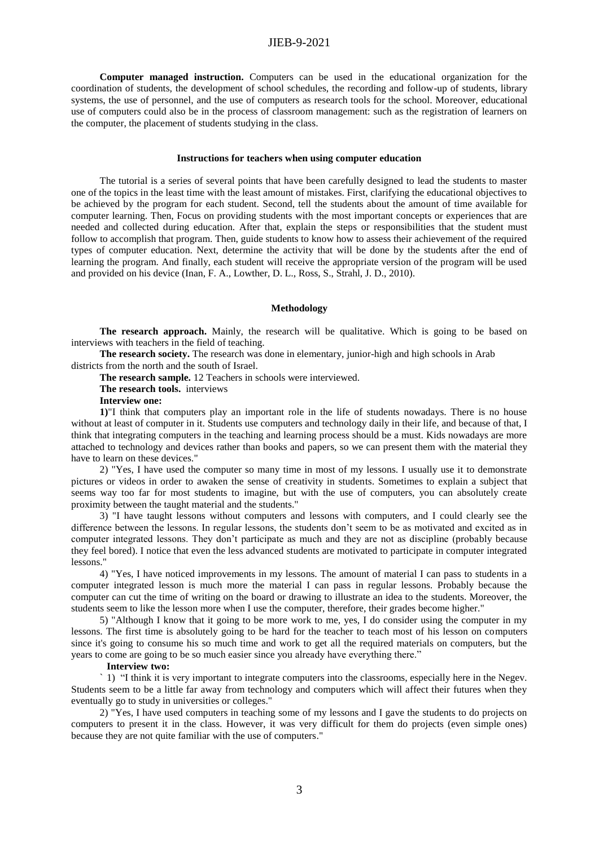**Computer managed instruction.** Computers can be used in the educational organization for the coordination of students, the development of school schedules, the recording and follow-up of students, library systems, the use of personnel, and the use of computers as research tools for the school. Moreover, educational use of computers could also be in the process of classroom management: such as the registration of learners on the computer, the placement of students studying in the class.

#### **Instructions for teachers when using computer education**

The tutorial is a series of several points that have been carefully designed to lead the students to master one of the topics in the least time with the least amount of mistakes. First, clarifying the educational objectives to be achieved by the program for each student. Second, tell the students about the amount of time available for computer learning. Then, Focus on providing students with the most important concepts or experiences that are needed and collected during education. After that, explain the steps or responsibilities that the student must follow to accomplish that program. Then, guide students to know how to assess their achievement of the required types of computer education. Next, determine the activity that will be done by the students after the end of learning the program. And finally, each student will receive the appropriate version of the program will be used and provided on his device (Inan, F. A., Lowther, D. L., Ross, S., Strahl, J. D., 2010).

#### **Methodology**

**The research approach.** Mainly, the research will be qualitative. Which is going to be based on interviews with teachers in the field of teaching.

**The research society.** The research was done in elementary, junior-high and high schools in Arab districts from the north and the south of Israel.

**The research sample.** 12 Teachers in schools were interviewed.

**The research tools.** interviews

**Interview one:**

**1)**"I think that computers play an important role in the life of students nowadays. There is no house without at least of computer in it. Students use computers and technology daily in their life, and because of that, I think that integrating computers in the teaching and learning process should be a must. Kids nowadays are more attached to technology and devices rather than books and papers, so we can present them with the material they have to learn on these devices."

2) "Yes, I have used the computer so many time in most of my lessons. I usually use it to demonstrate pictures or videos in order to awaken the sense of creativity in students. Sometimes to explain a subject that seems way too far for most students to imagine, but with the use of computers, you can absolutely create proximity between the taught material and the students."

3) "I have taught lessons without computers and lessons with computers, and I could clearly see the difference between the lessons. In regular lessons, the students don't seem to be as motivated and excited as in computer integrated lessons. They don't participate as much and they are not as discipline (probably because they feel bored). I notice that even the less advanced students are motivated to participate in computer integrated lessons."

4) "Yes, I have noticed improvements in my lessons. The amount of material I can pass to students in a computer integrated lesson is much more the material I can pass in regular lessons. Probably because the computer can cut the time of writing on the board or drawing to illustrate an idea to the students. Moreover, the students seem to like the lesson more when I use the computer, therefore, their grades become higher."

5) "Although I know that it going to be more work to me, yes, I do consider using the computer in my lessons. The first time is absolutely going to be hard for the teacher to teach most of his lesson on computers since it's going to consume his so much time and work to get all the required materials on computers, but the years to come are going to be so much easier since you already have everything there."

#### **Interview two:**

` 1) "I think it is very important to integrate computers into the classrooms, especially here in the Negev. Students seem to be a little far away from technology and computers which will affect their futures when they eventually go to study in universities or colleges."

2) "Yes, I have used computers in teaching some of my lessons and I gave the students to do projects on computers to present it in the class. However, it was very difficult for them do projects (even simple ones) because they are not quite familiar with the use of computers."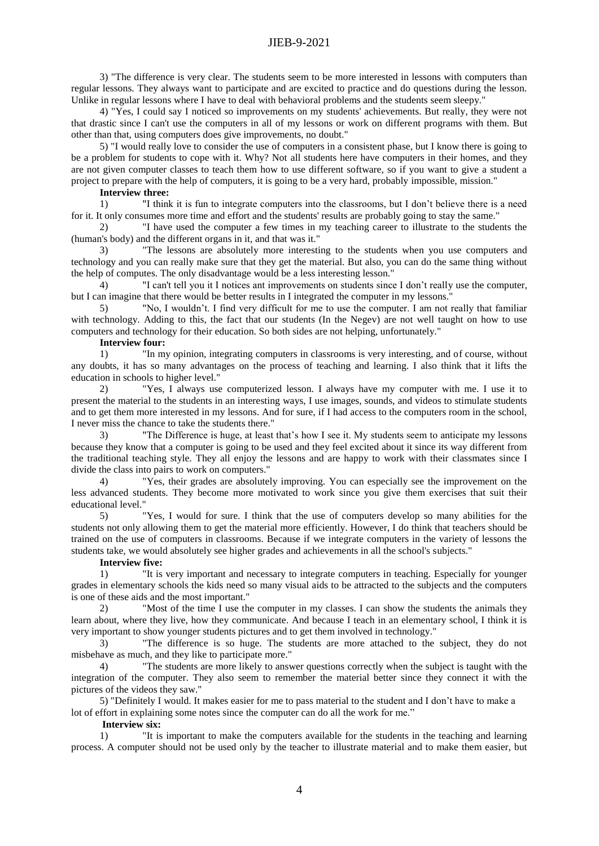3) "The difference is very clear. The students seem to be more interested in lessons with computers than regular lessons. They always want to participate and are excited to practice and do questions during the lesson. Unlike in regular lessons where I have to deal with behavioral problems and the students seem sleepy."

4) "Yes, I could say I noticed so improvements on my students' achievements. But really, they were not that drastic since I can't use the computers in all of my lessons or work on different programs with them. But other than that, using computers does give improvements, no doubt."

5) "I would really love to consider the use of computers in a consistent phase, but I know there is going to be a problem for students to cope with it. Why? Not all students here have computers in their homes, and they are not given computer classes to teach them how to use different software, so if you want to give a student a project to prepare with the help of computers, it is going to be a very hard, probably impossible, mission."

# **Interview three:**

1) "I think it is fun to integrate computers into the classrooms, but I don't believe there is a need for it. It only consumes more time and effort and the students' results are probably going to stay the same."

2) "I have used the computer a few times in my teaching career to illustrate to the students the (human's body) and the different organs in it, and that was it."

3) "The lessons are absolutely more interesting to the students when you use computers and technology and you can really make sure that they get the material. But also, you can do the same thing without the help of computes. The only disadvantage would be a less interesting lesson."

4) "I can't tell you it I notices ant improvements on students since I don't really use the computer, but I can imagine that there would be better results in I integrated the computer in my lessons."

5) "No, I wouldn't. I find very difficult for me to use the computer. I am not really that familiar with technology. Adding to this, the fact that our students (In the Negev) are not well taught on how to use computers and technology for their education. So both sides are not helping, unfortunately."

### **Interview four:**

1) "In my opinion, integrating computers in classrooms is very interesting, and of course, without any doubts, it has so many advantages on the process of teaching and learning. I also think that it lifts the education in schools to higher level."

2) "Yes, I always use computerized lesson. I always have my computer with me. I use it to present the material to the students in an interesting ways, I use images, sounds, and videos to stimulate students and to get them more interested in my lessons. And for sure, if I had access to the computers room in the school, I never miss the chance to take the students there."

3) "The Difference is huge, at least that's how I see it. My students seem to anticipate my lessons because they know that a computer is going to be used and they feel excited about it since its way different from the traditional teaching style. They all enjoy the lessons and are happy to work with their classmates since I divide the class into pairs to work on computers."

4) "Yes, their grades are absolutely improving. You can especially see the improvement on the less advanced students. They become more motivated to work since you give them exercises that suit their educational level."

5) "Yes, I would for sure. I think that the use of computers develop so many abilities for the students not only allowing them to get the material more efficiently. However, I do think that teachers should be trained on the use of computers in classrooms. Because if we integrate computers in the variety of lessons the students take, we would absolutely see higher grades and achievements in all the school's subjects."

### **Interview five:**

1) "It is very important and necessary to integrate computers in teaching. Especially for younger grades in elementary schools the kids need so many visual aids to be attracted to the subjects and the computers is one of these aids and the most important."

2) "Most of the time I use the computer in my classes. I can show the students the animals they learn about, where they live, how they communicate. And because I teach in an elementary school, I think it is very important to show younger students pictures and to get them involved in technology."

3) "The difference is so huge. The students are more attached to the subject, they do not misbehave as much, and they like to participate more."

4) "The students are more likely to answer questions correctly when the subject is taught with the integration of the computer. They also seem to remember the material better since they connect it with the pictures of the videos they saw."

5) "Definitely I would. It makes easier for me to pass material to the student and I don't have to make a lot of effort in explaining some notes since the computer can do all the work for me."

### **Interview six:**

1) "It is important to make the computers available for the students in the teaching and learning process. A computer should not be used only by the teacher to illustrate material and to make them easier, but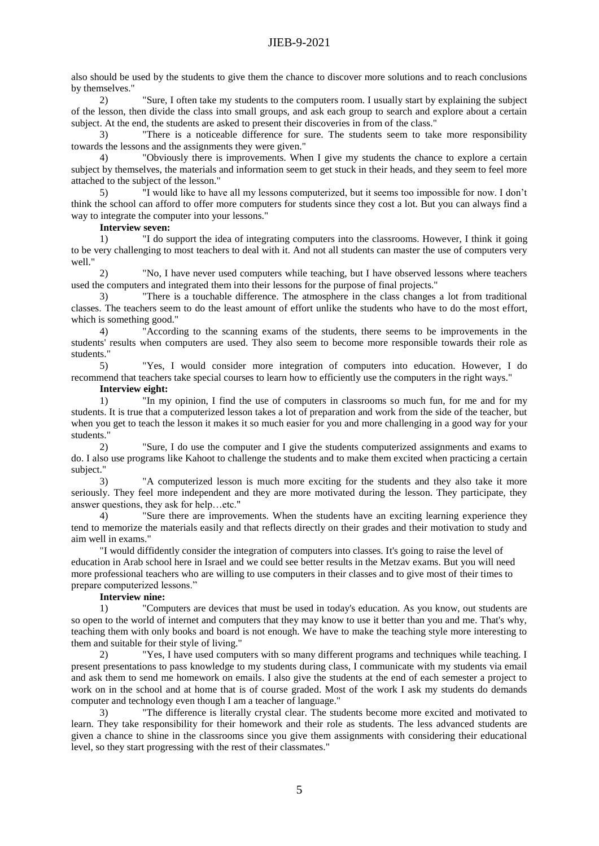also should be used by the students to give them the chance to discover more solutions and to reach conclusions by themselves."

2) "Sure, I often take my students to the computers room. I usually start by explaining the subject of the lesson, then divide the class into small groups, and ask each group to search and explore about a certain subject. At the end, the students are asked to present their discoveries in from of the class."

3) "There is a noticeable difference for sure. The students seem to take more responsibility towards the lessons and the assignments they were given."

4) "Obviously there is improvements. When I give my students the chance to explore a certain subject by themselves, the materials and information seem to get stuck in their heads, and they seem to feel more attached to the subject of the lesson."

5) "I would like to have all my lessons computerized, but it seems too impossible for now. I don't think the school can afford to offer more computers for students since they cost a lot. But you can always find a way to integrate the computer into your lessons."

**Interview seven:**

1) "I do support the idea of integrating computers into the classrooms. However, I think it going to be very challenging to most teachers to deal with it. And not all students can master the use of computers very well."

2) "No, I have never used computers while teaching, but I have observed lessons where teachers used the computers and integrated them into their lessons for the purpose of final projects."

3) "There is a touchable difference. The atmosphere in the class changes a lot from traditional classes. The teachers seem to do the least amount of effort unlike the students who have to do the most effort, which is something good."

4) "According to the scanning exams of the students, there seems to be improvements in the students' results when computers are used. They also seem to become more responsible towards their role as students."

5) "Yes, I would consider more integration of computers into education. However, I do recommend that teachers take special courses to learn how to efficiently use the computers in the right ways."

**Interview eight:**

1) "In my opinion, I find the use of computers in classrooms so much fun, for me and for my students. It is true that a computerized lesson takes a lot of preparation and work from the side of the teacher, but when you get to teach the lesson it makes it so much easier for you and more challenging in a good way for your students."

2) "Sure, I do use the computer and I give the students computerized assignments and exams to do. I also use programs like Kahoot to challenge the students and to make them excited when practicing a certain subject."

3) "A computerized lesson is much more exciting for the students and they also take it more seriously. They feel more independent and they are more motivated during the lesson. They participate, they answer questions, they ask for help…etc."

4) "Sure there are improvements. When the students have an exciting learning experience they tend to memorize the materials easily and that reflects directly on their grades and their motivation to study and aim well in exams."

"I would diffidently consider the integration of computers into classes. It's going to raise the level of education in Arab school here in Israel and we could see better results in the Metzav exams. But you will need more professional teachers who are willing to use computers in their classes and to give most of their times to prepare computerized lessons."

# **Interview nine:**

1) "Computers are devices that must be used in today's education. As you know, out students are so open to the world of internet and computers that they may know to use it better than you and me. That's why, teaching them with only books and board is not enough. We have to make the teaching style more interesting to them and suitable for their style of living."

2) "Yes, I have used computers with so many different programs and techniques while teaching. I present presentations to pass knowledge to my students during class, I communicate with my students via email and ask them to send me homework on emails. I also give the students at the end of each semester a project to work on in the school and at home that is of course graded. Most of the work I ask my students do demands computer and technology even though I am a teacher of language."

3) "The difference is literally crystal clear. The students become more excited and motivated to learn. They take responsibility for their homework and their role as students. The less advanced students are given a chance to shine in the classrooms since you give them assignments with considering their educational level, so they start progressing with the rest of their classmates."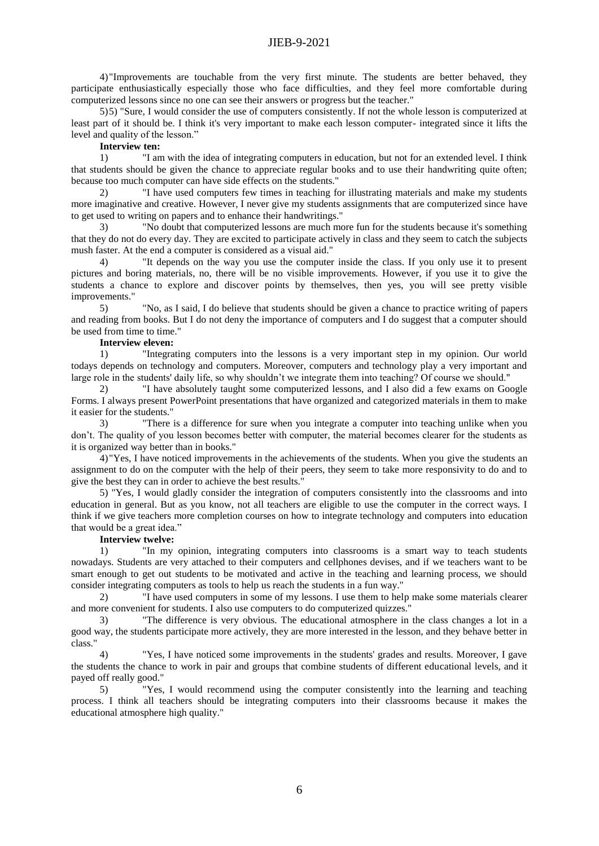4)"Improvements are touchable from the very first minute. The students are better behaved, they participate enthusiastically especially those who face difficulties, and they feel more comfortable during computerized lessons since no one can see their answers or progress but the teacher."

5)5) "Sure, I would consider the use of computers consistently. If not the whole lesson is computerized at least part of it should be. I think it's very important to make each lesson computer- integrated since it lifts the level and quality of the lesson."

### **Interview ten:**

1) "I am with the idea of integrating computers in education, but not for an extended level. I think that students should be given the chance to appreciate regular books and to use their handwriting quite often; because too much computer can have side effects on the students."

2) "I have used computers few times in teaching for illustrating materials and make my students more imaginative and creative. However, I never give my students assignments that are computerized since have to get used to writing on papers and to enhance their handwritings."

3) "No doubt that computerized lessons are much more fun for the students because it's something that they do not do every day. They are excited to participate actively in class and they seem to catch the subjects mush faster. At the end a computer is considered as a visual aid."

4) "It depends on the way you use the computer inside the class. If you only use it to present pictures and boring materials, no, there will be no visible improvements. However, if you use it to give the students a chance to explore and discover points by themselves, then yes, you will see pretty visible improvements."

5) "No, as I said, I do believe that students should be given a chance to practice writing of papers and reading from books. But I do not deny the importance of computers and I do suggest that a computer should be used from time to time."

### **Interview eleven:**

1) "Integrating computers into the lessons is a very important step in my opinion. Our world todays depends on technology and computers. Moreover, computers and technology play a very important and large role in the students' daily life, so why shouldn't we integrate them into teaching? Of course we should."

2) "I have absolutely taught some computerized lessons, and I also did a few exams on Google Forms. I always present PowerPoint presentations that have organized and categorized materials in them to make it easier for the students."

3) "There is a difference for sure when you integrate a computer into teaching unlike when you don't. The quality of you lesson becomes better with computer, the material becomes clearer for the students as it is organized way better than in books."

4)"Yes, I have noticed improvements in the achievements of the students. When you give the students an assignment to do on the computer with the help of their peers, they seem to take more responsivity to do and to give the best they can in order to achieve the best results."

5) "Yes, I would gladly consider the integration of computers consistently into the classrooms and into education in general. But as you know, not all teachers are eligible to use the computer in the correct ways. I think if we give teachers more completion courses on how to integrate technology and computers into education that would be a great idea."

### **Interview twelve:**

1) "In my opinion, integrating computers into classrooms is a smart way to teach students nowadays. Students are very attached to their computers and cellphones devises, and if we teachers want to be smart enough to get out students to be motivated and active in the teaching and learning process, we should consider integrating computers as tools to help us reach the students in a fun way."

2) "I have used computers in some of my lessons. I use them to help make some materials clearer and more convenient for students. I also use computers to do computerized quizzes."

3) "The difference is very obvious. The educational atmosphere in the class changes a lot in a good way, the students participate more actively, they are more interested in the lesson, and they behave better in class."

4) "Yes, I have noticed some improvements in the students' grades and results. Moreover, I gave the students the chance to work in pair and groups that combine students of different educational levels, and it payed off really good."

5) "Yes, I would recommend using the computer consistently into the learning and teaching process. I think all teachers should be integrating computers into their classrooms because it makes the educational atmosphere high quality."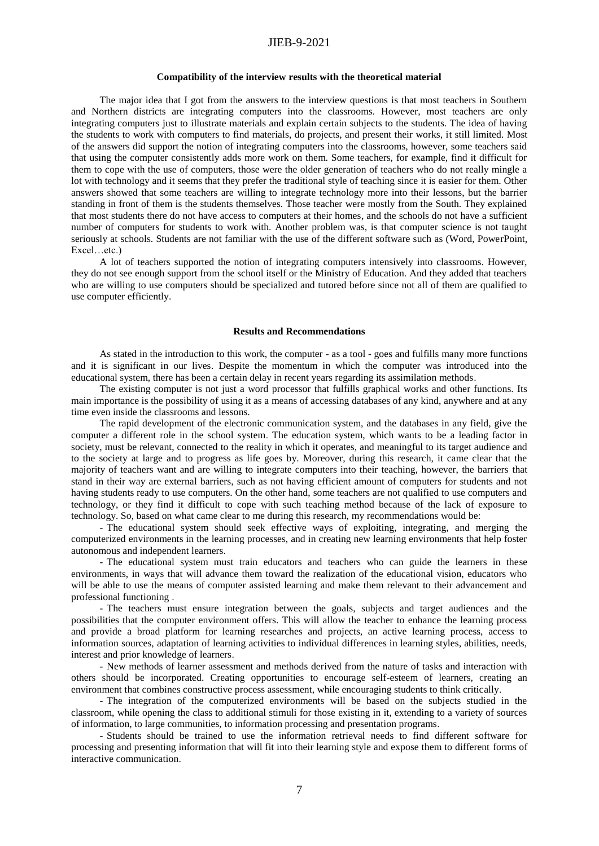### **Compatibility of the interview results with the theoretical material**

The major idea that I got from the answers to the interview questions is that most teachers in Southern and Northern districts are integrating computers into the classrooms. However, most teachers are only integrating computers just to illustrate materials and explain certain subjects to the students. The idea of having the students to work with computers to find materials, do projects, and present their works, it still limited. Most of the answers did support the notion of integrating computers into the classrooms, however, some teachers said that using the computer consistently adds more work on them. Some teachers, for example, find it difficult for them to cope with the use of computers, those were the older generation of teachers who do not really mingle a lot with technology and it seems that they prefer the traditional style of teaching since it is easier for them. Other answers showed that some teachers are willing to integrate technology more into their lessons, but the barrier standing in front of them is the students themselves. Those teacher were mostly from the South. They explained that most students there do not have access to computers at their homes, and the schools do not have a sufficient number of computers for students to work with. Another problem was, is that computer science is not taught seriously at schools. Students are not familiar with the use of the different software such as (Word, PowerPoint, Excel…etc.)

A lot of teachers supported the notion of integrating computers intensively into classrooms. However, they do not see enough support from the school itself or the Ministry of Education. And they added that teachers who are willing to use computers should be specialized and tutored before since not all of them are qualified to use computer efficiently.

#### **Results and Recommendations**

As stated in the introduction to this work, the computer - as a tool - goes and fulfills many more functions and it is significant in our lives. Despite the momentum in which the computer was introduced into the educational system, there has been a certain delay in recent years regarding its assimilation methods.

The existing computer is not just a word processor that fulfills graphical works and other functions. Its main importance is the possibility of using it as a means of accessing databases of any kind, anywhere and at any time even inside the classrooms and lessons.

The rapid development of the electronic communication system, and the databases in any field, give the computer a different role in the school system. The education system, which wants to be a leading factor in society, must be relevant, connected to the reality in which it operates, and meaningful to its target audience and to the society at large and to progress as life goes by. Moreover, during this research, it came clear that the majority of teachers want and are willing to integrate computers into their teaching, however, the barriers that stand in their way are external barriers, such as not having efficient amount of computers for students and not having students ready to use computers. On the other hand, some teachers are not qualified to use computers and technology, or they find it difficult to cope with such teaching method because of the lack of exposure to technology. So, based on what came clear to me during this research, my recommendations would be:

- The educational system should seek effective ways of exploiting, integrating, and merging the computerized environments in the learning processes, and in creating new learning environments that help foster autonomous and independent learners.

- The educational system must train educators and teachers who can guide the learners in these environments, in ways that will advance them toward the realization of the educational vision, educators who will be able to use the means of computer assisted learning and make them relevant to their advancement and professional functioning .

- The teachers must ensure integration between the goals, subjects and target audiences and the possibilities that the computer environment offers. This will allow the teacher to enhance the learning process and provide a broad platform for learning researches and projects, an active learning process, access to information sources, adaptation of learning activities to individual differences in learning styles, abilities, needs, interest and prior knowledge of learners.

- New methods of learner assessment and methods derived from the nature of tasks and interaction with others should be incorporated. Creating opportunities to encourage self-esteem of learners, creating an environment that combines constructive process assessment, while encouraging students to think critically.

- The integration of the computerized environments will be based on the subjects studied in the classroom, while opening the class to additional stimuli for those existing in it, extending to a variety of sources of information, to large communities, to information processing and presentation programs.

- Students should be trained to use the information retrieval needs to find different software for processing and presenting information that will fit into their learning style and expose them to different forms of interactive communication.

7